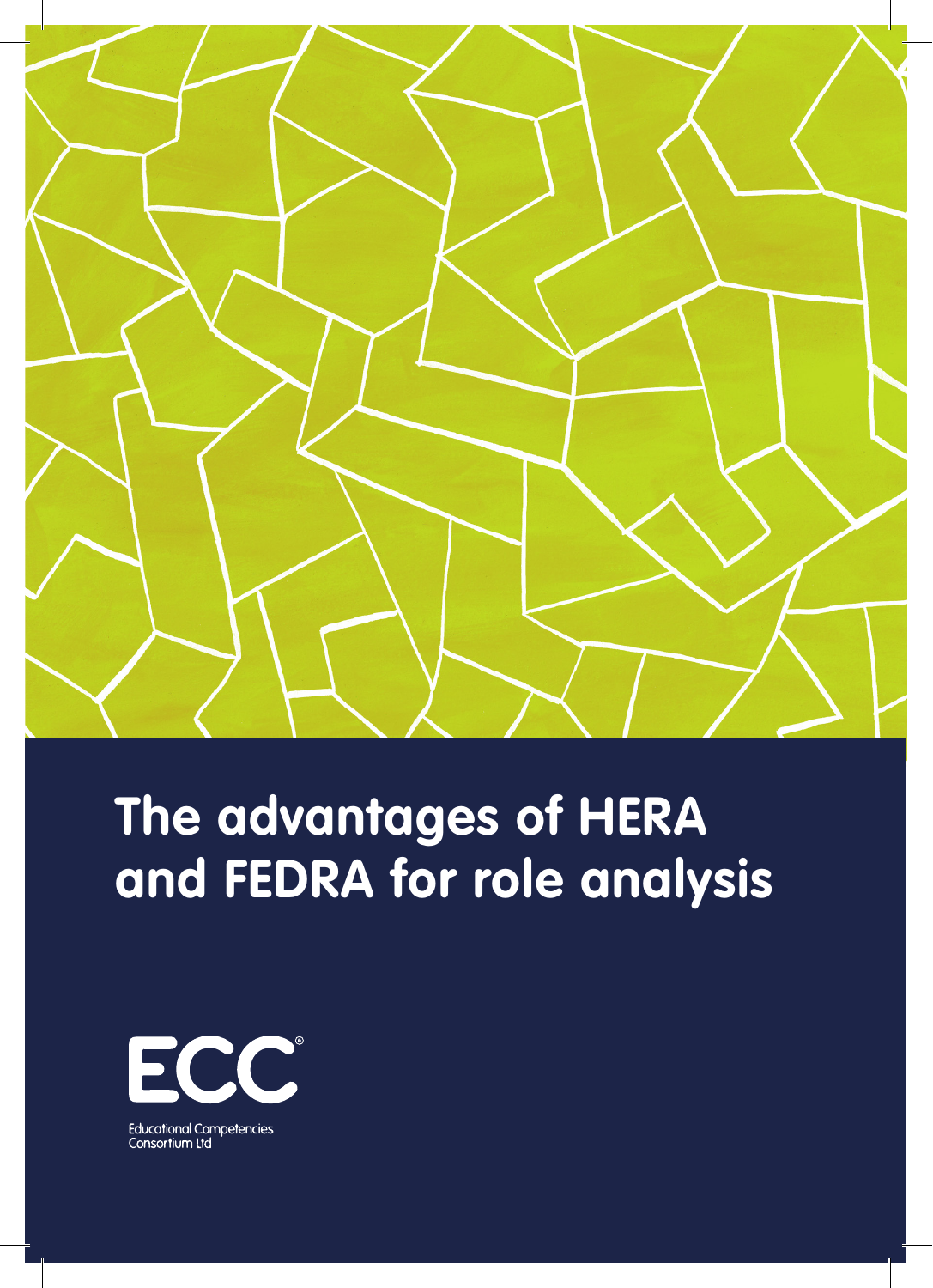

# **The advantages of HERA and FEDRA for role analysis**

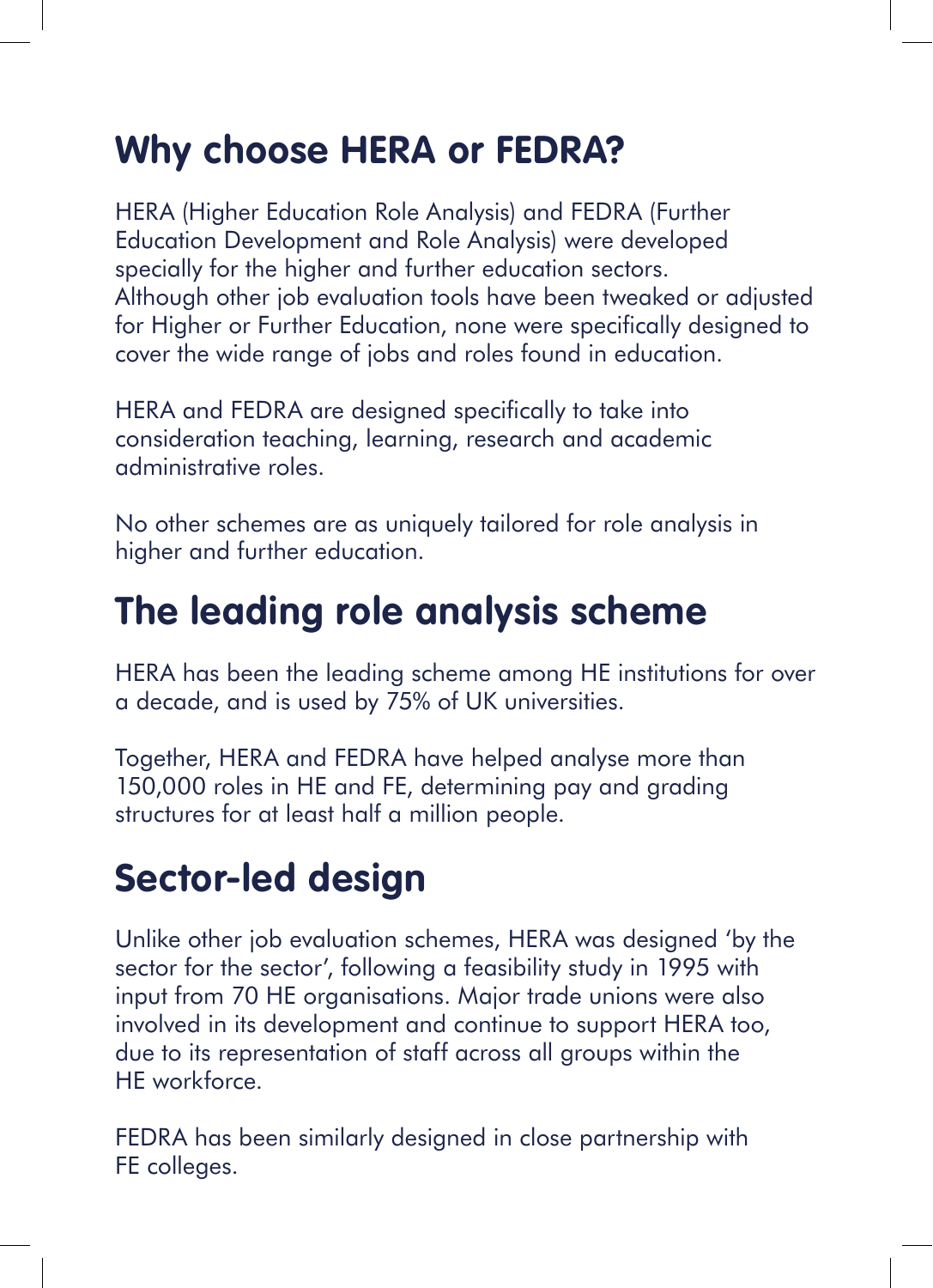## **Why choose HERA or FEDRA?**

HERA (Higher Education Role Analysis) and FEDRA (Further Education Development and Role Analysis) were developed specially for the higher and further education sectors. Although other job evaluation tools have been tweaked or adjusted for Higher or Further Education, none were specifically designed to cover the wide range of jobs and roles found in education.

HERA and FEDRA are designed specifically to take into consideration teaching, learning, research and academic administrative roles.

No other schemes are as uniquely tailored for role analysis in higher and further education.

#### **The leading role analysis scheme**

HERA has been the leading scheme among HE institutions for over a decade, and is used by 75% of UK universities.

Together, HERA and FEDRA have helped analyse more than 150,000 roles in HE and FE, determining pay and grading structures for at least half a million people.

#### **Sector-led design**

Unlike other job evaluation schemes, HERA was designed 'by the sector for the sector', following a feasibility study in 1995 with input from 70 HE organisations. Major trade unions were also involved in its development and continue to support HERA too, due to its representation of staff across all groups within the HE workforce.

FEDRA has been similarly designed in close partnership with FE colleges.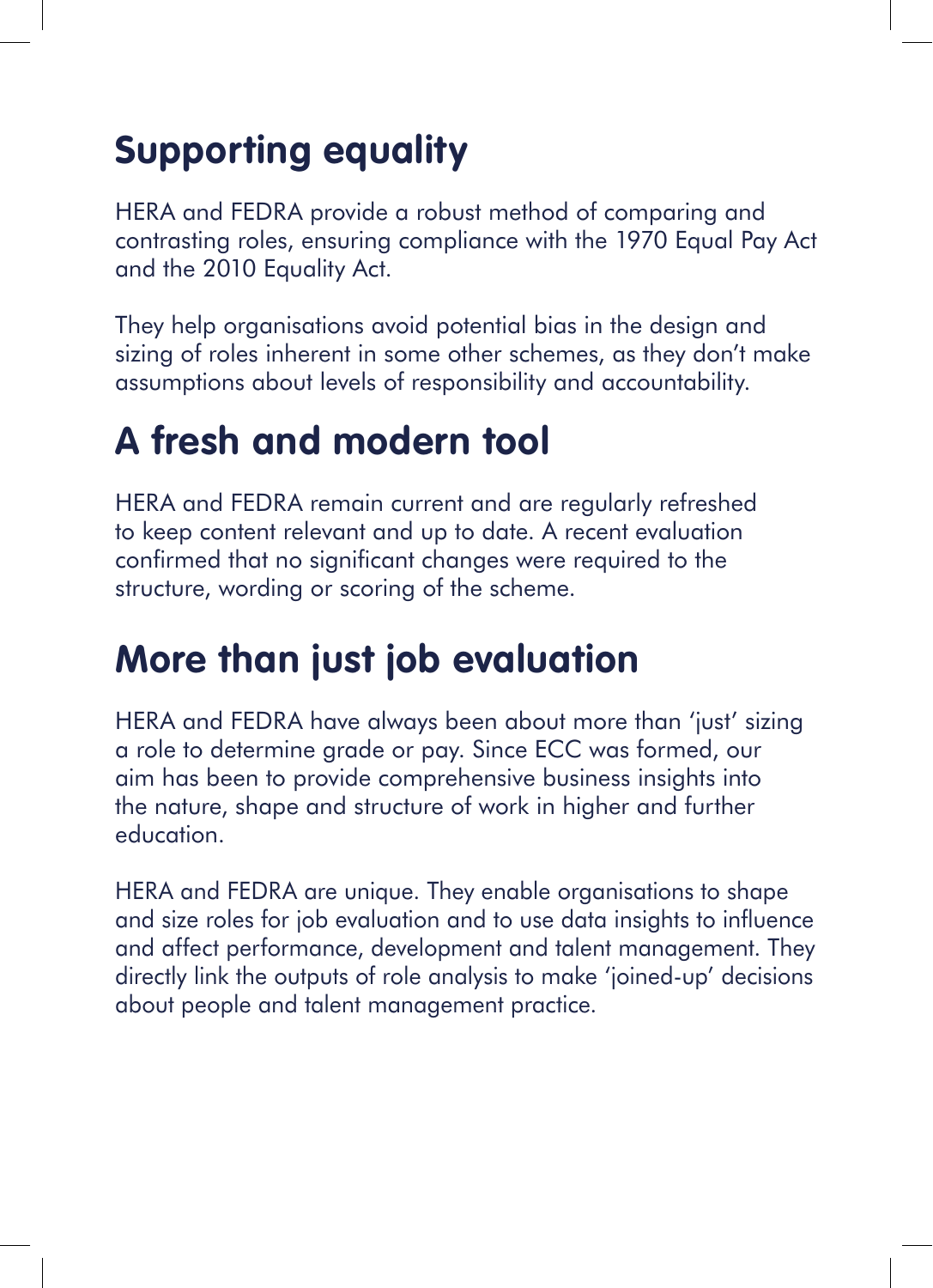## **Supporting equality**

HERA and FEDRA provide a robust method of comparing and contrasting roles, ensuring compliance with the 1970 Equal Pay Act and the 2010 Equality Act.

They help organisations avoid potential bias in the design and sizing of roles inherent in some other schemes, as they don't make assumptions about levels of responsibility and accountability.

### **A fresh and modern tool**

HERA and FEDRA remain current and are regularly refreshed to keep content relevant and up to date. A recent evaluation confirmed that no significant changes were required to the structure, wording or scoring of the scheme.

## **More than just job evaluation**

HERA and FEDRA have always been about more than 'just' sizing a role to determine grade or pay. Since ECC was formed, our aim has been to provide comprehensive business insights into the nature, shape and structure of work in higher and further education.

HERA and FEDRA are unique. They enable organisations to shape and size roles for job evaluation and to use data insights to influence and affect performance, development and talent management. They directly link the outputs of role analysis to make 'joined-up' decisions about people and talent management practice.